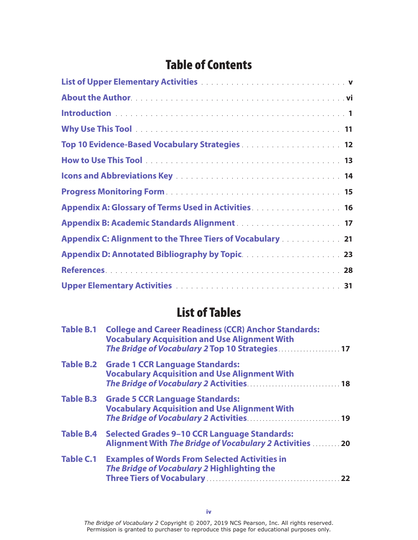## Table of Contents

| Top 10 Evidence-Based Vocabulary Strategies 12                                                                                                                                                             |
|------------------------------------------------------------------------------------------------------------------------------------------------------------------------------------------------------------|
|                                                                                                                                                                                                            |
|                                                                                                                                                                                                            |
|                                                                                                                                                                                                            |
| Appendix A: Glossary of Terms Used in Activities <b>Activities Activities Activities Activities Activities Activities Activities Activities Activities Activities Activities Activities Activities Act</b> |
|                                                                                                                                                                                                            |
| Appendix C: Alignment to the Three Tiers of Vocabulary 21                                                                                                                                                  |
|                                                                                                                                                                                                            |
|                                                                                                                                                                                                            |
|                                                                                                                                                                                                            |

## List of Tables

| <b>Table B.1</b> | <b>College and Career Readiness (CCR) Anchor Standards:</b><br><b>Vocabulary Acquisition and Use Alignment With</b><br>The Bridge of Vocabulary 2 Top 10 Strategies 17 |  |
|------------------|------------------------------------------------------------------------------------------------------------------------------------------------------------------------|--|
|                  | Table B.2 Grade 1 CCR Language Standards:<br><b>Vocabulary Acquisition and Use Alignment With</b>                                                                      |  |
|                  | Table B.3 Grade 5 CCR Language Standards:<br><b>Vocabulary Acquisition and Use Alignment With</b>                                                                      |  |
| <b>Table B.4</b> | <b>Selected Grades 9-10 CCR Language Standards:</b><br>Alignment With The Bridge of Vocabulary 2 Activities  20                                                        |  |
| <b>Table C.1</b> | <b>Examples of Words From Selected Activities in</b><br>The Bridge of Vocabulary 2 Highlighting the                                                                    |  |